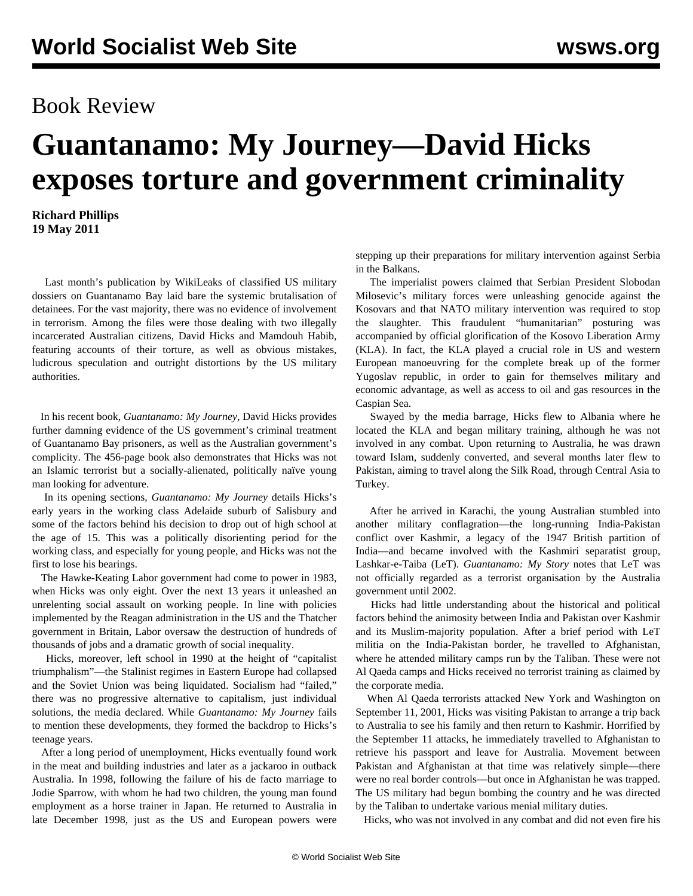## Book Review

## **Guantanamo: My Journey—David Hicks exposes torture and government criminality**

**Richard Phillips 19 May 2011**

 Last month's publication by WikiLeaks of classified US military dossiers on Guantanamo Bay laid bare the systemic brutalisation of detainees. For the vast majority, there was no evidence of involvement in terrorism. Among the files were those dealing with two illegally incarcerated Australian citizens, David Hicks and Mamdouh Habib, featuring accounts of their torture, as well as obvious mistakes, ludicrous speculation and outright distortions by the US military authorities.

 In his recent book, *Guantanamo: My Journey,* David Hicks provides further damning evidence of the US government's criminal treatment of Guantanamo Bay prisoners, as well as the Australian government's complicity. The 456-page book also demonstrates that Hicks was not an Islamic terrorist but a socially-alienated, politically naïve young man looking for adventure.

 In its opening sections, *Guantanamo: My Journey* details Hicks's early years in the working class Adelaide suburb of Salisbury and some of the factors behind his decision to drop out of high school at the age of 15. This was a politically disorienting period for the working class, and especially for young people, and Hicks was not the first to lose his bearings.

 The Hawke-Keating Labor government had come to power in 1983, when Hicks was only eight. Over the next 13 years it unleashed an unrelenting social assault on working people. In line with policies implemented by the Reagan administration in the US and the Thatcher government in Britain, Labor oversaw the destruction of hundreds of thousands of jobs and a dramatic growth of social inequality.

 Hicks, moreover, left school in 1990 at the height of "capitalist triumphalism"—the Stalinist regimes in Eastern Europe had collapsed and the Soviet Union was being liquidated. Socialism had "failed," there was no progressive alternative to capitalism, just individual solutions, the media declared. While *Guantanamo: My Journey* fails to mention these developments, they formed the backdrop to Hicks's teenage years.

 After a long period of unemployment, Hicks eventually found work in the meat and building industries and later as a jackaroo in outback Australia. In 1998, following the failure of his de facto marriage to Jodie Sparrow, with whom he had two children, the young man found employment as a horse trainer in Japan. He returned to Australia in late December 1998, just as the US and European powers were

stepping up their preparations for military intervention against Serbia in the Balkans.

 The imperialist powers claimed that Serbian President Slobodan Milosevic's military forces were unleashing genocide against the Kosovars and that NATO military intervention was required to stop the slaughter. This fraudulent "humanitarian" posturing was accompanied by official glorification of the Kosovo Liberation Army (KLA). In fact, the KLA played a crucial role in US and western European manoeuvring for the complete break up of the former Yugoslav republic, in order to gain for themselves military and economic advantage, as well as access to oil and gas resources in the Caspian Sea.

 Swayed by the media barrage, Hicks flew to Albania where he located the KLA and began military training, although he was not involved in any combat. Upon returning to Australia, he was drawn toward Islam, suddenly converted, and several months later flew to Pakistan, aiming to travel along the Silk Road, through Central Asia to Turkey.

 After he arrived in Karachi, the young Australian stumbled into another military conflagration—the long-running India-Pakistan conflict over Kashmir, a legacy of the 1947 British partition of India—and became involved with the Kashmiri separatist group, Lashkar-e-Taiba (LeT). *Guantanamo: My Story* notes that LeT was not officially regarded as a terrorist organisation by the Australia government until 2002.

 Hicks had little understanding about the historical and political factors behind the animosity between India and Pakistan over Kashmir and its Muslim-majority population. After a brief period with LeT militia on the India-Pakistan border, he travelled to Afghanistan, where he attended military camps run by the Taliban. These were not Al Qaeda camps and Hicks received no terrorist training as claimed by the corporate media.

 When Al Qaeda terrorists attacked New York and Washington on September 11, 2001, Hicks was visiting Pakistan to arrange a trip back to Australia to see his family and then return to Kashmir. Horrified by the September 11 attacks, he immediately travelled to Afghanistan to retrieve his passport and leave for Australia. Movement between Pakistan and Afghanistan at that time was relatively simple—there were no real border controls—but once in Afghanistan he was trapped. The US military had begun bombing the country and he was directed by the Taliban to undertake various menial military duties.

Hicks, who was not involved in any combat and did not even fire his